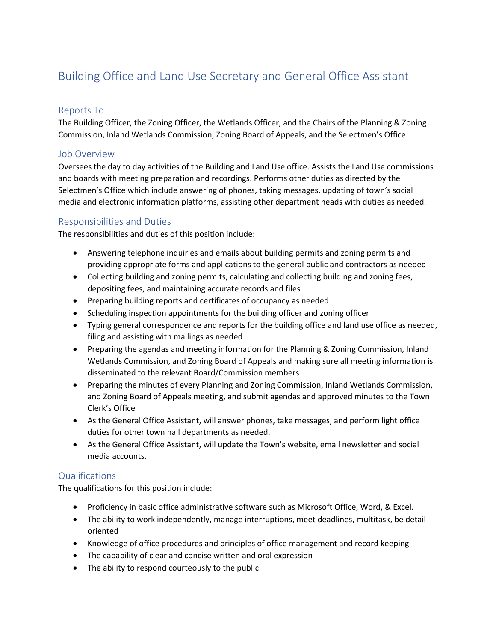# Building Office and Land Use Secretary and General Office Assistant

## Reports To

The Building Officer, the Zoning Officer, the Wetlands Officer, and the Chairs of the Planning & Zoning Commission, Inland Wetlands Commission, Zoning Board of Appeals, and the Selectmen's Office.

### Job Overview

Oversees the day to day activities of the Building and Land Use office. Assists the Land Use commissions and boards with meeting preparation and recordings. Performs other duties as directed by the Selectmen's Office which include answering of phones, taking messages, updating of town's social media and electronic information platforms, assisting other department heads with duties as needed.

## Responsibilities and Duties

The responsibilities and duties of this position include:

- Answering telephone inquiries and emails about building permits and zoning permits and providing appropriate forms and applications to the general public and contractors as needed
- Collecting building and zoning permits, calculating and collecting building and zoning fees, depositing fees, and maintaining accurate records and files
- Preparing building reports and certificates of occupancy as needed
- Scheduling inspection appointments for the building officer and zoning officer
- Typing general correspondence and reports for the building office and land use office as needed, filing and assisting with mailings as needed
- Preparing the agendas and meeting information for the Planning & Zoning Commission, Inland Wetlands Commission, and Zoning Board of Appeals and making sure all meeting information is disseminated to the relevant Board/Commission members
- Preparing the minutes of every Planning and Zoning Commission, Inland Wetlands Commission, and Zoning Board of Appeals meeting, and submit agendas and approved minutes to the Town Clerk's Office
- As the General Office Assistant, will answer phones, take messages, and perform light office duties for other town hall departments as needed.
- As the General Office Assistant, will update the Town's website, email newsletter and social media accounts.

#### Qualifications

The qualifications for this position include:

- Proficiency in basic office administrative software such as Microsoft Office, Word, & Excel.
- The ability to work independently, manage interruptions, meet deadlines, multitask, be detail oriented
- Knowledge of office procedures and principles of office management and record keeping
- The capability of clear and concise written and oral expression
- The ability to respond courteously to the public